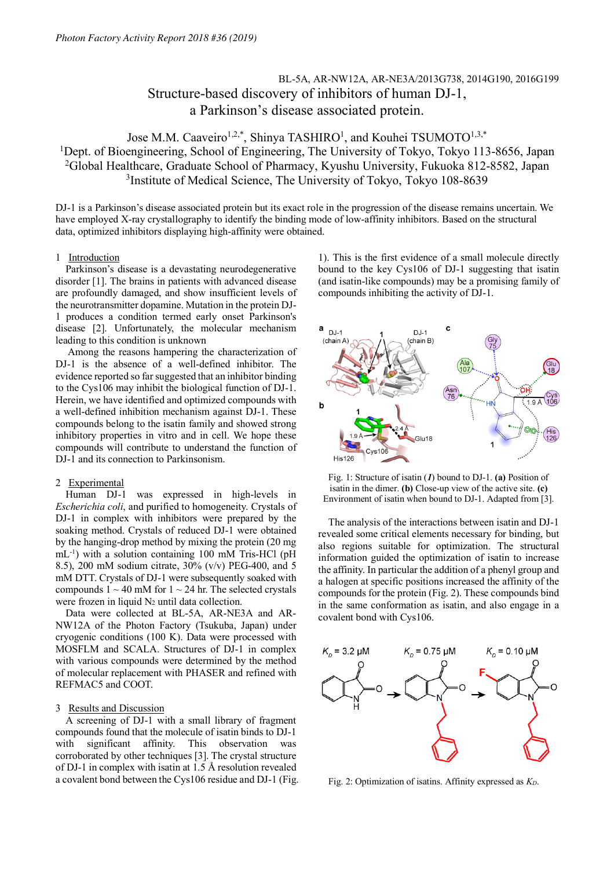# BL-5A, AR-NW12A, AR-NE3A/2013G738, 2014G190, 2016G199 Structure-based discovery of inhibitors of human DJ-1, a Parkinson's disease associated protein.

## Jose M.M. Caaveiro<sup>1,2,\*</sup>, Shinya TASHIRO<sup>1</sup>, and Kouhei TSUMOTO<sup>1,3,\*</sup> <sup>1</sup>Dept. of Bioengineering, School of Engineering, The University of Tokyo, Tokyo 113-8656, Japan 2 Global Healthcare, Graduate School of Pharmacy, Kyushu University, Fukuoka 812-8582, Japan <sup>3</sup>Institute of Medical Science, The University of Tokyo, Tokyo 108-8639

DJ-1 is a Parkinson's disease associated protein but its exact role in the progression of the disease remains uncertain. We have employed X-ray crystallography to identify the binding mode of low-affinity inhibitors. Based on the structural data, optimized inhibitors displaying high-affinity were obtained.

### 1 Introduction

Parkinson's disease is a devastating neurodegenerative disorder [1]. The brains in patients with advanced disease are profoundly damaged, and show insufficient levels of the neurotransmitter dopamine. Mutation in the protein DJ-1 produces a condition termed early onset Parkinson's disease [2]. Unfortunately, the molecular mechanism leading to this condition is unknown

Among the reasons hampering the characterization of DJ-1 is the absence of a well-defined inhibitor. The evidence reported so farsuggested that an inhibitor binding to the Cys106 may inhibit the biological function of DJ-1. Herein, we have identified and optimized compounds with a well-defined inhibition mechanism against DJ-1. These compounds belong to the isatin family and showed strong inhibitory properties in vitro and in cell. We hope these compounds will contribute to understand the function of DJ-1 and its connection to Parkinsonism.

## 2 Experimental

Human DJ-1 was expressed in high-levels in *Escherichia coli*, and purified to homogeneity. Crystals of DJ-1 in complex with inhibitors were prepared by the soaking method. Crystals of reduced DJ-1 were obtained by the hanging-drop method by mixing the protein (20 mg mL-1 ) with a solution containing 100 mM Tris-HCl (pH 8.5), 200 mM sodium citrate, 30% (v/v) PEG-400, and 5 mM DTT. Crystals of DJ-1 were subsequently soaked with compounds  $1 \sim 40$  mM for  $1 \sim 24$  hr. The selected crystals were frozen in liquid  $N_2$  until data collection.

Data were collected at BL-5A, AR-NE3A and AR-NW12A of the Photon Factory (Tsukuba, Japan) under cryogenic conditions (100 K). Data were processed with MOSFLM and SCALA. Structures of DJ-1 in complex with various compounds were determined by the method of molecular replacement with PHASER and refined with REFMAC5 and COOT.

### 3 Results and Discussion

A screening of DJ-1 with a small library of fragment compounds found that the molecule of isatin binds to DJ-1 with significant affinity. This observation was corroborated by other techniques [3]. The crystal structure of DJ-1 in complex with isatin at 1.5 Å resolution revealed a covalent bond between the Cys106 residue and DJ-1 (Fig.

1). This is the first evidence of a small molecule directly bound to the key Cys106 of DJ-1 suggesting that isatin (and isatin-like compounds) may be a promising family of compounds inhibiting the activity of DJ-1.



Fig. 1: Structure of isatin (*1*) bound to DJ-1. **(a)** Position of isatin in the dimer. **(b)** Close-up view of the active site. **(c)** Environment of isatin when bound to DJ-1. Adapted from [3].

The analysis of the interactions between isatin and DJ-1 revealed some critical elements necessary for binding, but also regions suitable for optimization. The structural information guided the optimization of isatin to increase the affinity. In particular the addition of a phenyl group and a halogen at specific positions increased the affinity of the compounds for the protein (Fig. 2). These compounds bind in the same conformation as isatin, and also engage in a covalent bond with Cys106.



Fig. 2: Optimization of isatins. Affinity expressed as *KD*.